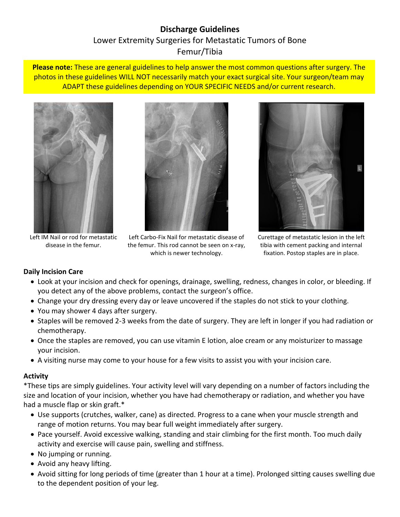# **Discharge Guidelines** Lower Extremity Surgeries for Metastatic Tumors of Bone Femur/Tibia

**Please note:** These are general guidelines to help answer the most common questions after surgery. The photos in these guidelines WILL NOT necessarily match your exact surgical site. Your surgeon/team may ADAPT these guidelines depending on YOUR SPECIFIC NEEDS and/or current research.



Left IM Nail or rod for metastatic disease in the femur.



Left Carbo-Fix Nail for metastatic disease of the femur. This rod cannot be seen on x-ray, which is newer technology.



Curettage of metastatic lesion in the left tibia with cement packing and internal fixation. Postop staples are in place.

### **Daily Incision Care**

- Look at your incision and check for openings, drainage, swelling, redness, changes in color, or bleeding. If you detect any of the above problems, contact the surgeon's office.
- Change your dry dressing every day or leave uncovered if the staples do not stick to your clothing.
- You may shower 4 days after surgery.
- Staples will be removed 2-3 weeks from the date of surgery. They are left in longer if you had radiation or chemotherapy.
- Once the staples are removed, you can use vitamin E lotion, aloe cream or any moisturizer to massage your incision.
- A visiting nurse may come to your house for a few visits to assist you with your incision care.

### **Activity**

\*These tips are simply guidelines. Your activity level will vary depending on a number of factors including the size and location of your incision, whether you have had chemotherapy or radiation, and whether you have had a muscle flap or skin graft.\*

- Use supports (crutches, walker, cane) as directed. Progress to a cane when your muscle strength and range of motion returns. You may bear full weight immediately after surgery.
- Pace yourself. Avoid excessive walking, standing and stair climbing for the first month. Too much daily activity and exercise will cause pain, swelling and stiffness.
- No jumping or running.
- Avoid any heavy lifting.
- Avoid sitting for long periods of time (greater than 1 hour at a time). Prolonged sitting causes swelling due to the dependent position of your leg.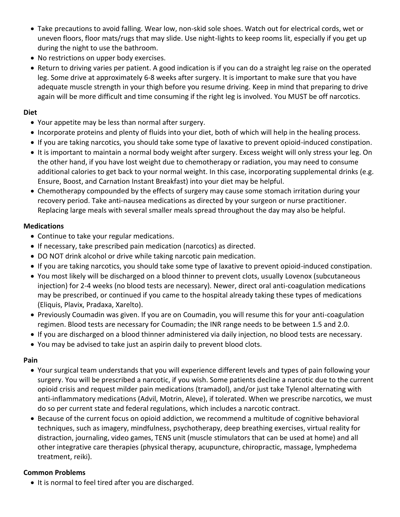- Take precautions to avoid falling. Wear low, non-skid sole shoes. Watch out for electrical cords, wet or uneven floors, floor mats/rugs that may slide. Use night-lights to keep rooms lit, especially if you get up during the night to use the bathroom.
- No restrictions on upper body exercises.
- Return to driving varies per patient. A good indication is if you can do a straight leg raise on the operated leg. Some drive at approximately 6-8 weeks after surgery. It is important to make sure that you have adequate muscle strength in your thigh before you resume driving. Keep in mind that preparing to drive again will be more difficult and time consuming if the right leg is involved. You MUST be off narcotics.

#### **Diet**

- Your appetite may be less than normal after surgery.
- Incorporate proteins and plenty of fluids into your diet, both of which will help in the healing process.
- If you are taking narcotics, you should take some type of laxative to prevent opioid-induced constipation.
- It is important to maintain a normal body weight after surgery. Excess weight will only stress your leg. On the other hand, if you have lost weight due to chemotherapy or radiation, you may need to consume additional calories to get back to your normal weight. In this case, incorporating supplemental drinks (e.g. Ensure, Boost, and Carnation Instant Breakfast) into your diet may be helpful.
- Chemotherapy compounded by the effects of surgery may cause some stomach irritation during your recovery period. Take anti-nausea medications as directed by your surgeon or nurse practitioner. Replacing large meals with several smaller meals spread throughout the day may also be helpful.

### **Medications**

- Continue to take your regular medications.
- If necessary, take prescribed pain medication (narcotics) as directed.
- DO NOT drink alcohol or drive while taking narcotic pain medication.
- If you are taking narcotics, you should take some type of laxative to prevent opioid-induced constipation.
- You most likely will be discharged on a blood thinner to prevent clots, usually Lovenox (subcutaneous injection) for 2-4 weeks (no blood tests are necessary). Newer, direct oral anti-coagulation medications may be prescribed, or continued if you came to the hospital already taking these types of medications (Eliquis, Plavix, Pradaxa, Xarelto).
- Previously Coumadin was given. If you are on Coumadin, you will resume this for your anti-coagulation regimen. Blood tests are necessary for Coumadin; the INR range needs to be between 1.5 and 2.0.
- If you are discharged on a blood thinner administered via daily injection, no blood tests are necessary.
- You may be advised to take just an aspirin daily to prevent blood clots.

### **Pain**

- Your surgical team understands that you will experience different levels and types of pain following your surgery. You will be prescribed a narcotic, if you wish. Some patients decline a narcotic due to the current opioid crisis and request milder pain medications (tramadol), and/or just take Tylenol alternating with anti-inflammatory medications (Advil, Motrin, Aleve), if tolerated. When we prescribe narcotics, we must do so per current state and federal regulations, which includes a narcotic contract.
- Because of the current focus on opioid addiction, we recommend a multitude of cognitive behavioral techniques, such as imagery, mindfulness, psychotherapy, deep breathing exercises, virtual reality for distraction, journaling, video games, TENS unit (muscle stimulators that can be used at home) and all other integrative care therapies (physical therapy, acupuncture, chiropractic, massage, lymphedema treatment, reiki).

### **Common Problems**

• It is normal to feel tired after you are discharged.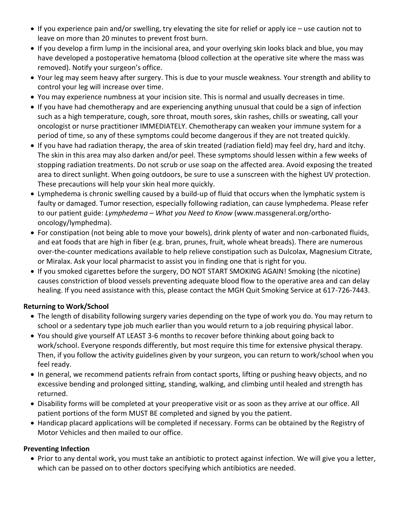- If you experience pain and/or swelling, try elevating the site for relief or apply ice use caution not to leave on more than 20 minutes to prevent frost burn.
- If you develop a firm lump in the incisional area, and your overlying skin looks black and blue, you may have developed a postoperative hematoma (blood collection at the operative site where the mass was removed). Notify your surgeon's office.
- Your leg may seem heavy after surgery. This is due to your muscle weakness. Your strength and ability to control your leg will increase over time.
- You may experience numbness at your incision site. This is normal and usually decreases in time.
- If you have had chemotherapy and are experiencing anything unusual that could be a sign of infection such as a high temperature, cough, sore throat, mouth sores, skin rashes, chills or sweating, call your oncologist or nurse practitioner IMMEDIATELY. Chemotherapy can weaken your immune system for a period of time, so any of these symptoms could become dangerous if they are not treated quickly.
- If you have had radiation therapy, the area of skin treated (radiation field) may feel dry, hard and itchy. The skin in this area may also darken and/or peel. These symptoms should lessen within a few weeks of stopping radiation treatments. Do not scrub or use soap on the affected area. Avoid exposing the treated area to direct sunlight. When going outdoors, be sure to use a sunscreen with the highest UV protection. These precautions will help your skin heal more quickly.
- Lymphedema is chronic swelling caused by a build-up of fluid that occurs when the lymphatic system is faulty or damaged. Tumor resection, especially following radiation, can cause lymphedema. Please refer to our patient guide: *Lymphedema – What you Need to Know* (www.massgeneral.org/orthooncology/lymphedma).
- For constipation (not being able to move your bowels), drink plenty of water and non-carbonated fluids, and eat foods that are high in fiber (e.g. bran, prunes, fruit, whole wheat breads). There are numerous over-the-counter medications available to help relieve constipation such as Dulcolax, Magnesium Citrate, or Miralax. Ask your local pharmacist to assist you in finding one that is right for you.
- If you smoked cigarettes before the surgery, DO NOT START SMOKING AGAIN! Smoking (the nicotine) causes constriction of blood vessels preventing adequate blood flow to the operative area and can delay healing. If you need assistance with this, please contact the MGH Quit Smoking Service at 617-726-7443.

### **Returning to Work/School**

- The length of disability following surgery varies depending on the type of work you do. You may return to school or a sedentary type job much earlier than you would return to a job requiring physical labor.
- You should give yourself AT LEAST 3-6 months to recover before thinking about going back to work/school. Everyone responds differently, but most require this time for extensive physical therapy. Then, if you follow the activity guidelines given by your surgeon, you can return to work/school when you feel ready.
- In general, we recommend patients refrain from contact sports, lifting or pushing heavy objects, and no excessive bending and prolonged sitting, standing, walking, and climbing until healed and strength has returned.
- Disability forms will be completed at your preoperative visit or as soon as they arrive at our office. All patient portions of the form MUST BE completed and signed by you the patient.
- Handicap placard applications will be completed if necessary. Forms can be obtained by the Registry of Motor Vehicles and then mailed to our office.

### **Preventing Infection**

 Prior to any dental work, you must take an antibiotic to protect against infection. We will give you a letter, which can be passed on to other doctors specifying which antibiotics are needed.